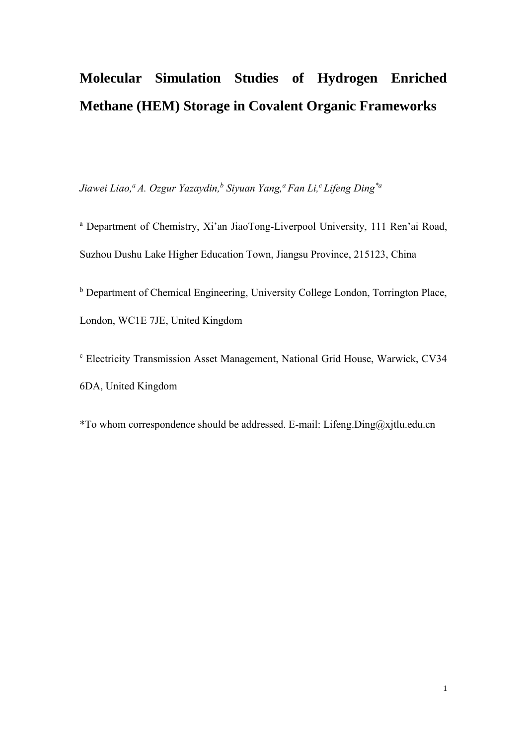# **Molecular Simulation Studies of Hydrogen Enriched Methane (HEM) Storage in Covalent Organic Frameworks**

*Jiawei Liao, <sup>a</sup> A. Ozgur Yazaydin, b Siyuan Yang,<sup>a</sup> Fan Li,<sup>c</sup> Lifeng Ding\*a*

<sup>a</sup> Department of Chemistry, Xi'an JiaoTong-Liverpool University, 111 Ren'ai Road, Suzhou Dushu Lake Higher Education Town, Jiangsu Province, 215123, China

<sup>b</sup> Department of Chemical Engineering, University College London, Torrington Place, London, WC1E 7JE, United Kingdom

<sup>c</sup> Electricity Transmission Asset Management, National Grid House, Warwick, CV34 6DA, United Kingdom

\*To whom correspondence should be addressed. E-mail: Lifeng.Ding@xjtlu.edu.cn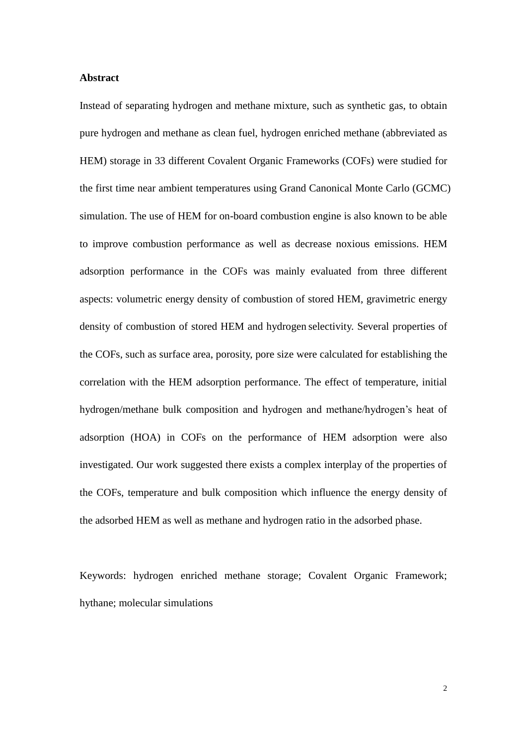### **Abstract**

Instead of separating hydrogen and methane mixture, such as synthetic gas, to obtain pure hydrogen and methane as clean fuel, hydrogen enriched methane (abbreviated as HEM) storage in 33 different Covalent Organic Frameworks (COFs) were studied for the first time near ambient temperatures using Grand Canonical Monte Carlo (GCMC) simulation. The use of HEM for on-board combustion engine is also known to be able to improve combustion performance as well as decrease noxious emissions. HEM adsorption performance in the COFs was mainly evaluated from three different aspects: volumetric energy density of combustion of stored HEM, gravimetric energy density of combustion of stored HEM and hydrogen selectivity. Several properties of the COFs, such as surface area, porosity, pore size were calculated for establishing the correlation with the HEM adsorption performance. The effect of temperature, initial hydrogen/methane bulk composition and hydrogen and methane/hydrogen's heat of adsorption (HOA) in COFs on the performance of HEM adsorption were also investigated. Our work suggested there exists a complex interplay of the properties of the COFs, temperature and bulk composition which influence the energy density of the adsorbed HEM as well as methane and hydrogen ratio in the adsorbed phase.

Keywords: hydrogen enriched methane storage; Covalent Organic Framework; hythane; molecular simulations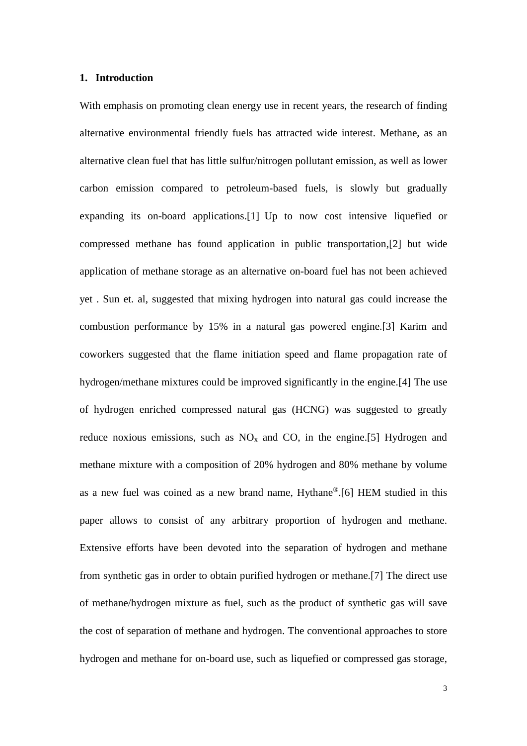## **1. Introduction**

With emphasis on promoting clean energy use in recent years, the research of finding alternative environmental friendly fuels has attracted wide interest. Methane, as an alternative clean fuel that has little sulfur/nitrogen pollutant emission, as well as lower carbon emission compared to petroleum-based fuels, is slowly but gradually expanding its on-board applications.[1] Up to now cost intensive liquefied or compressed methane has found application in public transportation,[2] but wide application of methane storage as an alternative on-board fuel has not been achieved yet . Sun et. al, suggested that mixing hydrogen into natural gas could increase the combustion performance by 15% in a natural gas powered engine.[3] Karim and coworkers suggested that the flame initiation speed and flame propagation rate of hydrogen/methane mixtures could be improved significantly in the engine.[4] The use of hydrogen enriched compressed natural gas (HCNG) was suggested to greatly reduce noxious emissions, such as  $NO<sub>x</sub>$  and CO, in the engine.[5] Hydrogen and methane mixture with a composition of 20% hydrogen and 80% methane by volume as a new fuel was coined as a new brand name, Hythane®.[6] HEM studied in this paper allows to consist of any arbitrary proportion of hydrogen and methane. Extensive efforts have been devoted into the separation of hydrogen and methane from synthetic gas in order to obtain purified hydrogen or methane.[7] The direct use of methane/hydrogen mixture as fuel, such as the product of synthetic gas will save the cost of separation of methane and hydrogen. The conventional approaches to store hydrogen and methane for on-board use, such as liquefied or compressed gas storage,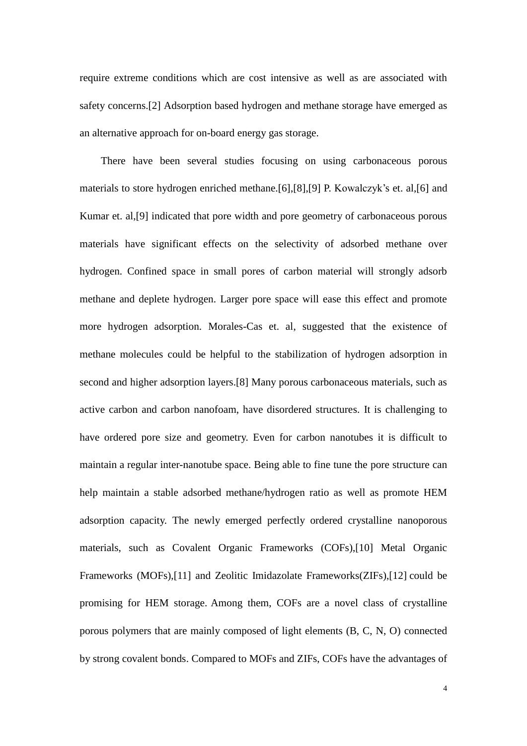require extreme conditions which are cost intensive as well as are associated with safety concerns.[2] Adsorption based hydrogen and methane storage have emerged as an alternative approach for on-board energy gas storage.

There have been several studies focusing on using carbonaceous porous materials to store hydrogen enriched methane.[6],[8],[9] P. Kowalczyk's et. al,[6] and Kumar et. al,[9] indicated that pore width and pore geometry of carbonaceous porous materials have significant effects on the selectivity of adsorbed methane over hydrogen. Confined space in small pores of carbon material will strongly adsorb methane and deplete hydrogen. Larger pore space will ease this effect and promote more hydrogen adsorption. Morales-Cas et. al, suggested that the existence of methane molecules could be helpful to the stabilization of hydrogen adsorption in second and higher adsorption layers.[8] Many porous carbonaceous materials, such as active carbon and carbon nanofoam, have disordered structures. It is challenging to have ordered pore size and geometry. Even for carbon nanotubes it is difficult to maintain a regular inter-nanotube space. Being able to fine tune the pore structure can help maintain a stable adsorbed methane/hydrogen ratio as well as promote HEM adsorption capacity. The newly emerged perfectly ordered crystalline nanoporous materials, such as Covalent Organic Frameworks (COFs),[10] Metal Organic Frameworks (MOFs),[11] and Zeolitic Imidazolate Frameworks(ZIFs),[12] could be promising for HEM storage. Among them, COFs are a novel class of crystalline porous polymers that are mainly composed of light elements (B, C, N, O) connected by strong covalent bonds. Compared to MOFs and ZIFs, COFs have the advantages of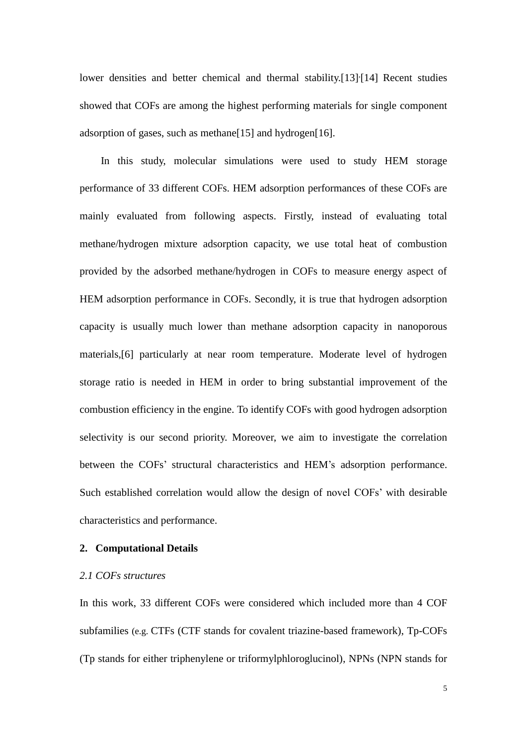lower densities and better chemical and thermal stability.[13]<sup>{</sup>[14] Recent studies showed that COFs are among the highest performing materials for single component adsorption of gases, such as methane[15] and hydrogen[16].

In this study, molecular simulations were used to study HEM storage performance of 33 different COFs. HEM adsorption performances of these COFs are mainly evaluated from following aspects. Firstly, instead of evaluating total methane/hydrogen mixture adsorption capacity, we use total heat of combustion provided by the adsorbed methane/hydrogen in COFs to measure energy aspect of HEM adsorption performance in COFs. Secondly, it is true that hydrogen adsorption capacity is usually much lower than methane adsorption capacity in nanoporous materials,[6] particularly at near room temperature. Moderate level of hydrogen storage ratio is needed in HEM in order to bring substantial improvement of the combustion efficiency in the engine. To identify COFs with good hydrogen adsorption selectivity is our second priority. Moreover, we aim to investigate the correlation between the COFs' structural characteristics and HEM's adsorption performance. Such established correlation would allow the design of novel COFs' with desirable characteristics and performance.

# **2. Computational Details**

#### *2.1 COFs structures*

In this work, 33 different COFs were considered which included more than 4 COF subfamilies (e.g. CTFs (CTF stands for covalent triazine-based framework), Tp-COFs (Tp stands for either triphenylene or triformylphloroglucinol), NPNs (NPN stands for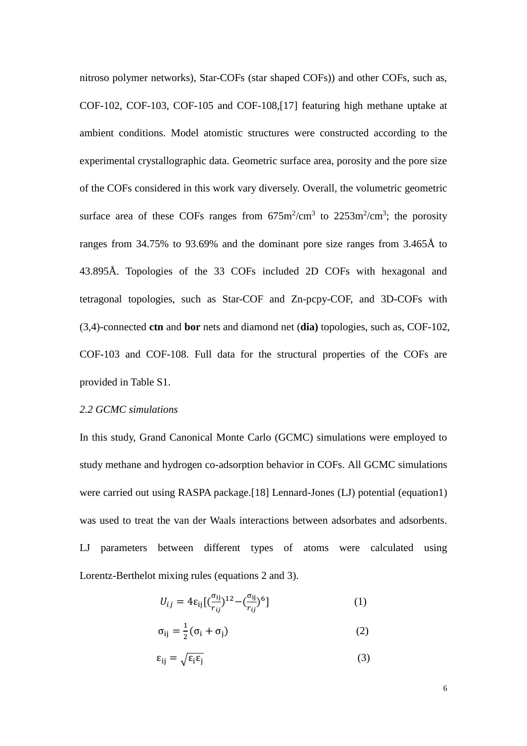nitroso polymer networks), Star-COFs (star shaped COFs)) and other COFs, such as, COF-102, COF-103, COF-105 and COF-108,[17] featuring high methane uptake at ambient conditions. Model atomistic structures were constructed according to the experimental crystallographic data. Geometric surface area, porosity and the pore size of the COFs considered in this work vary diversely. Overall, the volumetric geometric surface area of these COFs ranges from  $675 \text{m}^2/\text{cm}^3$  to  $2253 \text{m}^2/\text{cm}^3$ ; the porosity ranges from 34.75% to 93.69% and the dominant pore size ranges from 3.465Å to 43.895Å. Topologies of the 33 COFs included 2D COFs with hexagonal and tetragonal topologies, such as Star-COF and Zn-pcpy-COF, and 3D-COFs with (3,4)-connected **ctn** and **bor** nets and diamond net (**dia)** topologies, such as, COF-102, COF-103 and COF-108. Full data for the structural properties of the COFs are provided in Table S1.

## *2.2 GCMC simulations*

In this study, Grand Canonical Monte Carlo (GCMC) simulations were employed to study methane and hydrogen co-adsorption behavior in COFs. All GCMC simulations were carried out using RASPA package.<sup>[18]</sup> Lennard-Jones (LJ) potential (equation1) was used to treat the van der Waals interactions between adsorbates and adsorbents. LJ parameters between different types of atoms were calculated using Lorentz-Berthelot mixing rules (equations 2 and 3).

$$
U_{ij} = 4\varepsilon_{ij} \left[ \left( \frac{\sigma_{ij}}{r_{ij}} \right)^{12} - \left( \frac{\sigma_{ij}}{r_{ij}} \right)^{6} \right] \tag{1}
$$

$$
\sigma_{ij} = \frac{1}{2} (\sigma_i + \sigma_j) \tag{2}
$$

$$
\varepsilon_{ij} = \sqrt{\varepsilon_i \varepsilon_j} \tag{3}
$$

6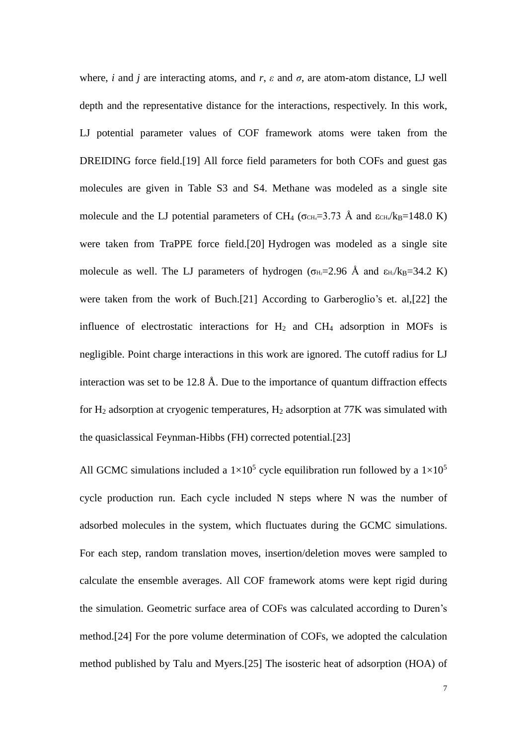where, *i* and *j* are interacting atoms, and *r*,  $\varepsilon$  and  $\sigma$ , are atom-atom distance, LJ well depth and the representative distance for the interactions, respectively. In this work, LJ potential parameter values of COF framework atoms were taken from the DREIDING force field.[19] All force field parameters for both COFs and guest gas molecules are given in Table S3 and S4. Methane was modeled as a single site molecule and the LJ potential parameters of CH<sub>4</sub> ( $\sigma$ <sub>CH<sub>4</sub>=3.73 Å and  $\epsilon$ <sub>CH</sub>/k<sub>B</sub>=148.0 K)</sub> were taken from TraPPE force field.[20] Hydrogen was modeled as a single site molecule as well. The LJ parameters of hydrogen ( $\sigma_{H2}=2.96$  Å and  $\epsilon_{H2}/k_{B}=34.2$  K) were taken from the work of Buch.[21] According to Garberoglio's et. al,[22] the influence of electrostatic interactions for  $H_2$  and  $CH_4$  adsorption in MOFs is negligible. Point charge interactions in this work are ignored. The cutoff radius for LJ interaction was set to be 12.8 Å. Due to the importance of quantum diffraction effects for  $H_2$  adsorption at cryogenic temperatures,  $H_2$  adsorption at 77K was simulated with the quasiclassical Feynman-Hibbs (FH) corrected potential.[23]

All GCMC simulations included a  $1\times10^5$  cycle equilibration run followed by a  $1\times10^5$ cycle production run. Each cycle included N steps where N was the number of adsorbed molecules in the system, which fluctuates during the GCMC simulations. For each step, random translation moves, insertion/deletion moves were sampled to calculate the ensemble averages. All COF framework atoms were kept rigid during the simulation. Geometric surface area of COFs was calculated according to Duren's method.[24] For the pore volume determination of COFs, we adopted the calculation method published by Talu and Myers.[25] The isosteric heat of adsorption (HOA) of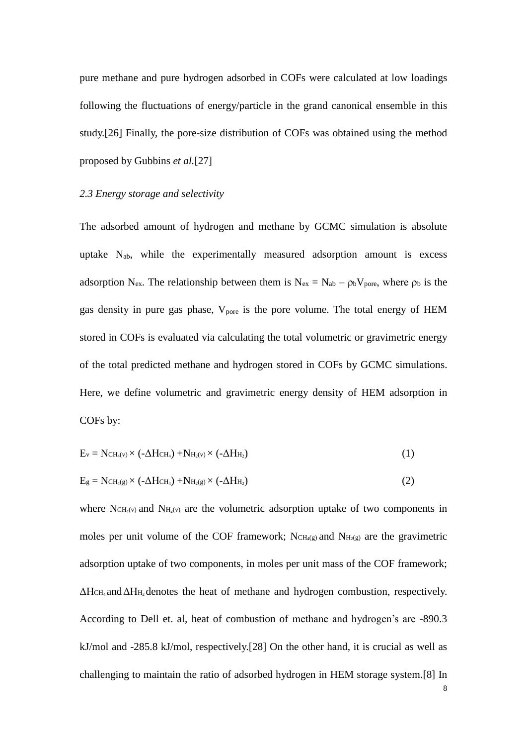pure methane and pure hydrogen adsorbed in COFs were calculated at low loadings following the fluctuations of energy/particle in the grand canonical ensemble in this study.[26] Finally, the pore-size distribution of COFs was obtained using the method proposed by Gubbins *et al.*[27]

#### *2.3 Energy storage and selectivity*

The adsorbed amount of hydrogen and methane by GCMC simulation is absolute uptake  $N_{ab}$ , while the experimentally measured adsorption amount is excess adsorption N<sub>ex</sub>. The relationship between them is N<sub>ex</sub> = N<sub>ab</sub> –  $\rho_b V_{pore}$ , where  $\rho_b$  is the gas density in pure gas phase,  $V_{pore}$  is the pore volume. The total energy of HEM stored in COFs is evaluated via calculating the total volumetric or gravimetric energy of the total predicted methane and hydrogen stored in COFs by GCMC simulations. Here, we define volumetric and gravimetric energy density of HEM adsorption in COFs by:

$$
E_v = NCH_{4}(v) \times (-\Delta HCH_4) + NH_2(v) \times (-\Delta HH_2)
$$
\n(1)

$$
E_g = NCH_{4(g)} \times (-\Delta HCH_4) + NH_2(g) \times (-\Delta HH_2)
$$
\n(2)

where  $NCH<sub>4</sub>(v)$  and  $NH<sub>2</sub>(v)$  are the volumetric adsorption uptake of two components in moles per unit volume of the COF framework;  $NCH<sub>4(g)</sub>$  and  $NH<sub>2(g)</sub>$  are the gravimetric adsorption uptake of two components, in moles per unit mass of the COF framework; ΔHCH<sup>4</sup> andΔH<sup>H</sup><sup>2</sup> denotes the heat of methane and hydrogen combustion, respectively. According to Dell et. al, heat of combustion of methane and hydrogen's are -890.3 kJ/mol and -285.8 kJ/mol, respectively.[28] On the other hand, it is crucial as well as challenging to maintain the ratio of adsorbed hydrogen in HEM storage system.[8] In

8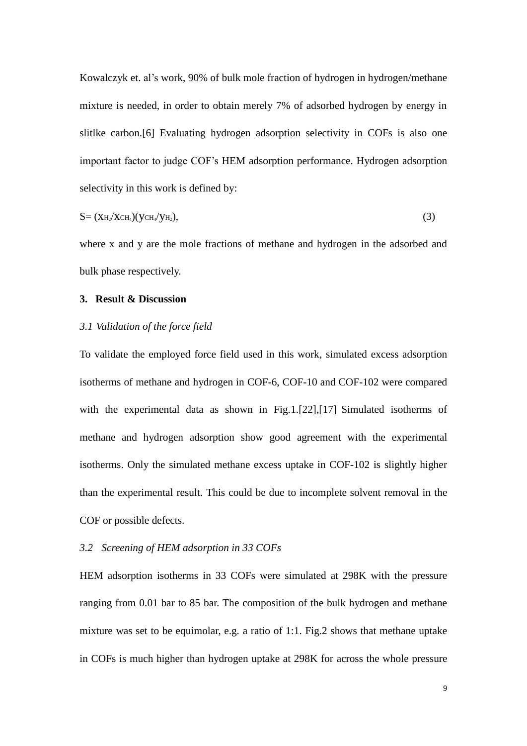Kowalczyk et. al's work, 90% of bulk mole fraction of hydrogen in hydrogen/methane mixture is needed, in order to obtain merely 7% of adsorbed hydrogen by energy in slitlke carbon.[6] Evaluating hydrogen adsorption selectivity in COFs is also one important factor to judge COF's HEM adsorption performance. Hydrogen adsorption selectivity in this work is defined by:

$$
S = (X_{H_2}/X_{CH_4})(y_{CH_4}/y_{H_2}), \qquad (3)
$$

where x and y are the mole fractions of methane and hydrogen in the adsorbed and bulk phase respectively.

## **3. Result & Discussion**

## *3.1 Validation of the force field*

To validate the employed force field used in this work, simulated excess adsorption isotherms of methane and hydrogen in COF-6, COF-10 and COF-102 were compared with the experimental data as shown in Fig.1.[22],[17] Simulated isotherms of methane and hydrogen adsorption show good agreement with the experimental isotherms. Only the simulated methane excess uptake in COF-102 is slightly higher than the experimental result. This could be due to incomplete solvent removal in the COF or possible defects.

# *3.2 Screening of HEM adsorption in 33 COFs*

HEM adsorption isotherms in 33 COFs were simulated at 298K with the pressure ranging from 0.01 bar to 85 bar. The composition of the bulk hydrogen and methane mixture was set to be equimolar, e.g. a ratio of 1:1. Fig.2 shows that methane uptake in COFs is much higher than hydrogen uptake at 298K for across the whole pressure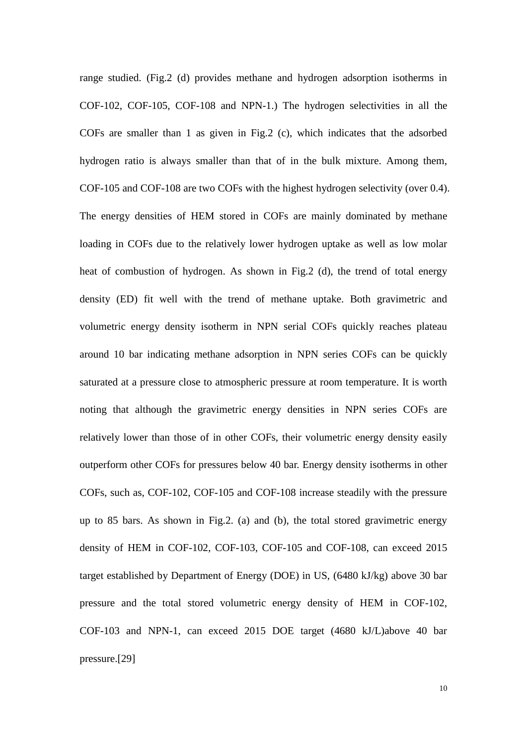range studied. (Fig.2 (d) provides methane and hydrogen adsorption isotherms in COF-102, COF-105, COF-108 and NPN-1.) The hydrogen selectivities in all the COFs are smaller than 1 as given in Fig.2 (c), which indicates that the adsorbed hydrogen ratio is always smaller than that of in the bulk mixture. Among them, COF-105 and COF-108 are two COFs with the highest hydrogen selectivity (over 0.4). The energy densities of HEM stored in COFs are mainly dominated by methane loading in COFs due to the relatively lower hydrogen uptake as well as low molar heat of combustion of hydrogen. As shown in Fig.2 (d), the trend of total energy density (ED) fit well with the trend of methane uptake. Both gravimetric and volumetric energy density isotherm in NPN serial COFs quickly reaches plateau around 10 bar indicating methane adsorption in NPN series COFs can be quickly saturated at a pressure close to atmospheric pressure at room temperature. It is worth noting that although the gravimetric energy densities in NPN series COFs are relatively lower than those of in other COFs, their volumetric energy density easily outperform other COFs for pressures below 40 bar. Energy density isotherms in other COFs, such as, COF-102, COF-105 and COF-108 increase steadily with the pressure up to 85 bars. As shown in Fig.2. (a) and (b), the total stored gravimetric energy density of HEM in COF-102, COF-103, COF-105 and COF-108, can exceed 2015 target established by Department of Energy (DOE) in US, (6480 kJ/kg) above 30 bar pressure and the total stored volumetric energy density of HEM in COF-102, COF-103 and NPN-1, can exceed 2015 DOE target (4680 kJ/L)above 40 bar pressure.[29]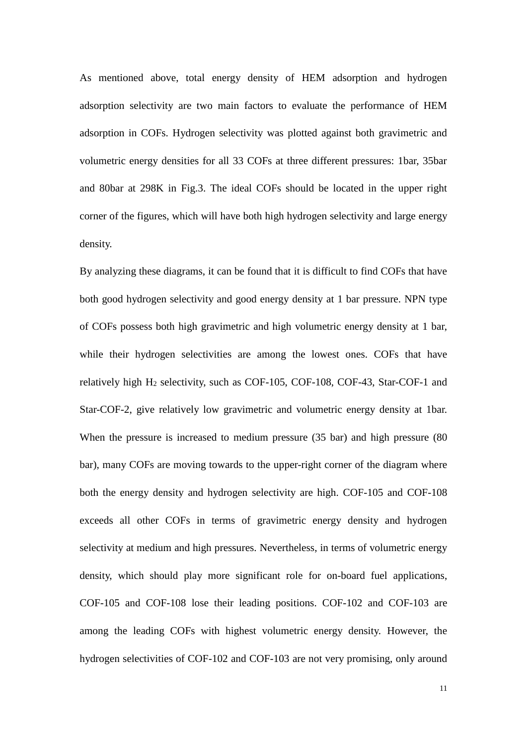As mentioned above, total energy density of HEM adsorption and hydrogen adsorption selectivity are two main factors to evaluate the performance of HEM adsorption in COFs. Hydrogen selectivity was plotted against both gravimetric and volumetric energy densities for all 33 COFs at three different pressures: 1bar, 35bar and 80bar at 298K in Fig.3. The ideal COFs should be located in the upper right corner of the figures, which will have both high hydrogen selectivity and large energy density.

By analyzing these diagrams, it can be found that it is difficult to find COFs that have both good hydrogen selectivity and good energy density at 1 bar pressure. NPN type of COFs possess both high gravimetric and high volumetric energy density at 1 bar, while their hydrogen selectivities are among the lowest ones. COFs that have relatively high H<sup>2</sup> selectivity, such as COF-105, COF-108, COF-43, Star-COF-1 and Star-COF-2, give relatively low gravimetric and volumetric energy density at 1bar. When the pressure is increased to medium pressure (35 bar) and high pressure (80 bar), many COFs are moving towards to the upper-right corner of the diagram where both the energy density and hydrogen selectivity are high. COF-105 and COF-108 exceeds all other COFs in terms of gravimetric energy density and hydrogen selectivity at medium and high pressures. Nevertheless, in terms of volumetric energy density, which should play more significant role for on-board fuel applications, COF-105 and COF-108 lose their leading positions. COF-102 and COF-103 are among the leading COFs with highest volumetric energy density. However, the hydrogen selectivities of COF-102 and COF-103 are not very promising, only around

11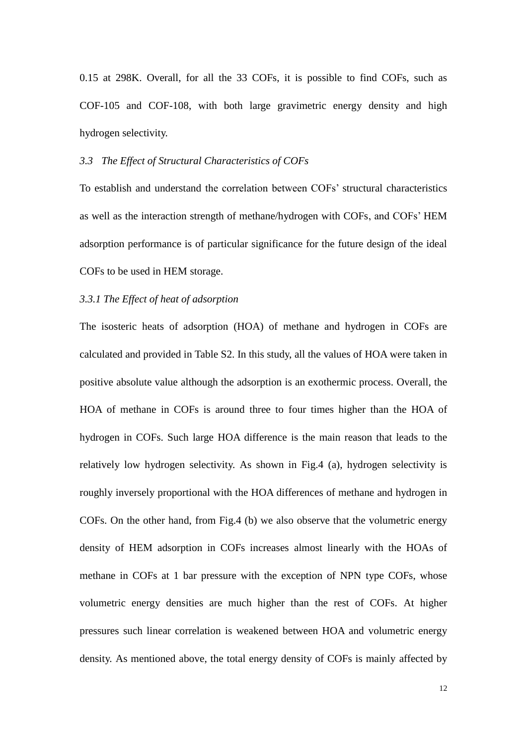0.15 at 298K. Overall, for all the 33 COFs, it is possible to find COFs, such as COF-105 and COF-108, with both large gravimetric energy density and high hydrogen selectivity.

## *3.3 The Effect of Structural Characteristics of COFs*

To establish and understand the correlation between COFs' structural characteristics as well as the interaction strength of methane/hydrogen with COFs, and COFs' HEM adsorption performance is of particular significance for the future design of the ideal COFs to be used in HEM storage.

## *3.3.1 The Effect of heat of adsorption*

The isosteric heats of adsorption (HOA) of methane and hydrogen in COFs are calculated and provided in Table S2. In this study, all the values of HOA were taken in positive absolute value although the adsorption is an exothermic process. Overall, the HOA of methane in COFs is around three to four times higher than the HOA of hydrogen in COFs. Such large HOA difference is the main reason that leads to the relatively low hydrogen selectivity. As shown in Fig.4 (a), hydrogen selectivity is roughly inversely proportional with the HOA differences of methane and hydrogen in COFs. On the other hand, from Fig.4 (b) we also observe that the volumetric energy density of HEM adsorption in COFs increases almost linearly with the HOAs of methane in COFs at 1 bar pressure with the exception of NPN type COFs, whose volumetric energy densities are much higher than the rest of COFs. At higher pressures such linear correlation is weakened between HOA and volumetric energy density. As mentioned above, the total energy density of COFs is mainly affected by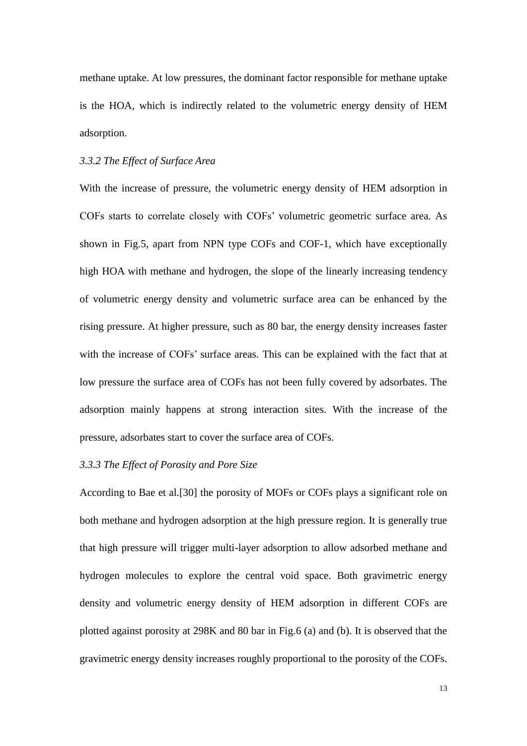methane uptake. At low pressures, the dominant factor responsible for methane uptake is the HOA, which is indirectly related to the volumetric energy density of HEM adsorption.

# *3.3.2 The Effect of Surface Area*

With the increase of pressure, the volumetric energy density of HEM adsorption in COFs starts to correlate closely with COFs' volumetric geometric surface area. As shown in Fig.5, apart from NPN type COFs and COF-1, which have exceptionally high HOA with methane and hydrogen, the slope of the linearly increasing tendency of volumetric energy density and volumetric surface area can be enhanced by the rising pressure. At higher pressure, such as 80 bar, the energy density increases faster with the increase of COFs' surface areas. This can be explained with the fact that at low pressure the surface area of COFs has not been fully covered by adsorbates. The adsorption mainly happens at strong interaction sites. With the increase of the pressure, adsorbates start to cover the surface area of COFs.

## *3.3.3 The Effect of Porosity and Pore Size*

According to Bae et al.[30] the porosity of MOFs or COFs plays a significant role on both methane and hydrogen adsorption at the high pressure region. It is generally true that high pressure will trigger multi-layer adsorption to allow adsorbed methane and hydrogen molecules to explore the central void space. Both gravimetric energy density and volumetric energy density of HEM adsorption in different COFs are plotted against porosity at 298K and 80 bar in Fig.6 (a) and (b). It is observed that the gravimetric energy density increases roughly proportional to the porosity of the COFs.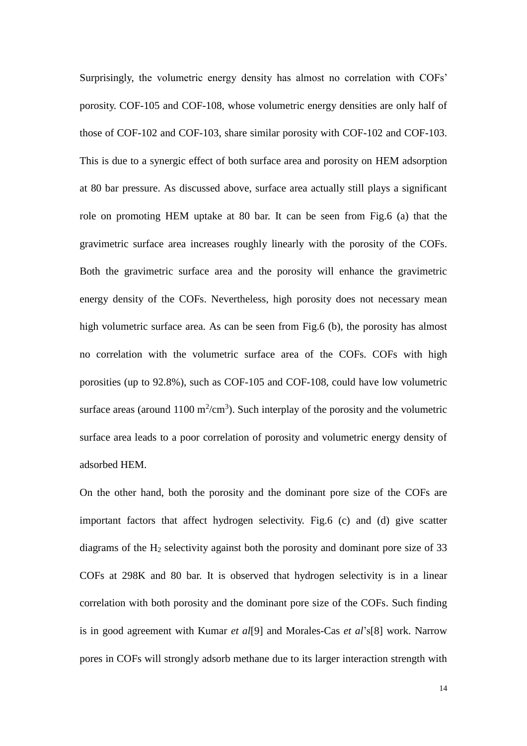Surprisingly, the volumetric energy density has almost no correlation with COFs' porosity. COF-105 and COF-108, whose volumetric energy densities are only half of those of COF-102 and COF-103, share similar porosity with COF-102 and COF-103. This is due to a synergic effect of both surface area and porosity on HEM adsorption at 80 bar pressure. As discussed above, surface area actually still plays a significant role on promoting HEM uptake at 80 bar. It can be seen from Fig.6 (a) that the gravimetric surface area increases roughly linearly with the porosity of the COFs. Both the gravimetric surface area and the porosity will enhance the gravimetric energy density of the COFs. Nevertheless, high porosity does not necessary mean high volumetric surface area. As can be seen from Fig.6 (b), the porosity has almost no correlation with the volumetric surface area of the COFs. COFs with high porosities (up to 92.8%), such as COF-105 and COF-108, could have low volumetric surface areas (around  $1100 \text{ m}^2/\text{cm}^3$ ). Such interplay of the porosity and the volumetric surface area leads to a poor correlation of porosity and volumetric energy density of adsorbed HEM.

On the other hand, both the porosity and the dominant pore size of the COFs are important factors that affect hydrogen selectivity. Fig.6 (c) and (d) give scatter diagrams of the  $H_2$  selectivity against both the porosity and dominant pore size of 33 COFs at 298K and 80 bar. It is observed that hydrogen selectivity is in a linear correlation with both porosity and the dominant pore size of the COFs. Such finding is in good agreement with Kumar *et al*[9] and Morales-Cas *et al*'s[8] work. Narrow pores in COFs will strongly adsorb methane due to its larger interaction strength with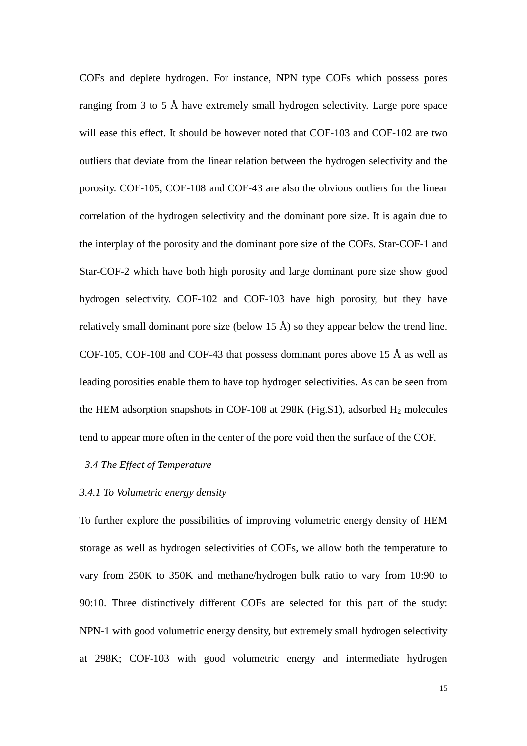COFs and deplete hydrogen. For instance, NPN type COFs which possess pores ranging from 3 to 5 Å have extremely small hydrogen selectivity. Large pore space will ease this effect. It should be however noted that COF-103 and COF-102 are two outliers that deviate from the linear relation between the hydrogen selectivity and the porosity. COF-105, COF-108 and COF-43 are also the obvious outliers for the linear correlation of the hydrogen selectivity and the dominant pore size. It is again due to the interplay of the porosity and the dominant pore size of the COFs. Star-COF-1 and Star-COF-2 which have both high porosity and large dominant pore size show good hydrogen selectivity. COF-102 and COF-103 have high porosity, but they have relatively small dominant pore size (below 15  $\AA$ ) so they appear below the trend line. COF-105, COF-108 and COF-43 that possess dominant pores above 15  $\AA$  as well as leading porosities enable them to have top hydrogen selectivities. As can be seen from the HEM adsorption snapshots in COF-108 at 298K (Fig.S1), adsorbed H<sup>2</sup> molecules tend to appear more often in the center of the pore void then the surface of the COF.

## *3.4 The Effect of Temperature*

## *3.4.1 To Volumetric energy density*

To further explore the possibilities of improving volumetric energy density of HEM storage as well as hydrogen selectivities of COFs, we allow both the temperature to vary from 250K to 350K and methane/hydrogen bulk ratio to vary from 10:90 to 90:10. Three distinctively different COFs are selected for this part of the study: NPN-1 with good volumetric energy density, but extremely small hydrogen selectivity at 298K; COF-103 with good volumetric energy and intermediate hydrogen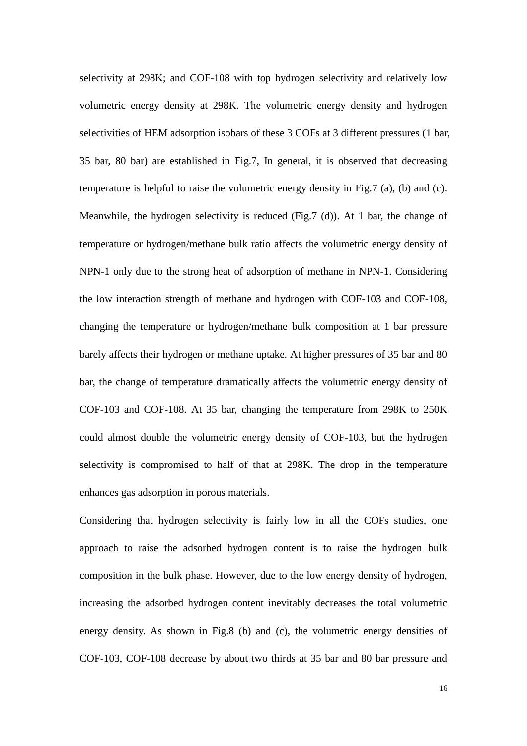selectivity at 298K; and COF-108 with top hydrogen selectivity and relatively low volumetric energy density at 298K. The volumetric energy density and hydrogen selectivities of HEM adsorption isobars of these 3 COFs at 3 different pressures (1 bar, 35 bar, 80 bar) are established in Fig.7, In general, it is observed that decreasing temperature is helpful to raise the volumetric energy density in Fig.7 (a), (b) and (c). Meanwhile, the hydrogen selectivity is reduced (Fig.7 (d)). At 1 bar, the change of temperature or hydrogen/methane bulk ratio affects the volumetric energy density of NPN-1 only due to the strong heat of adsorption of methane in NPN-1. Considering the low interaction strength of methane and hydrogen with COF-103 and COF-108, changing the temperature or hydrogen/methane bulk composition at 1 bar pressure barely affects their hydrogen or methane uptake. At higher pressures of 35 bar and 80 bar, the change of temperature dramatically affects the volumetric energy density of COF-103 and COF-108. At 35 bar, changing the temperature from 298K to 250K could almost double the volumetric energy density of COF-103, but the hydrogen selectivity is compromised to half of that at 298K. The drop in the temperature enhances gas adsorption in porous materials.

Considering that hydrogen selectivity is fairly low in all the COFs studies, one approach to raise the adsorbed hydrogen content is to raise the hydrogen bulk composition in the bulk phase. However, due to the low energy density of hydrogen, increasing the adsorbed hydrogen content inevitably decreases the total volumetric energy density. As shown in Fig.8 (b) and (c), the volumetric energy densities of COF-103, COF-108 decrease by about two thirds at 35 bar and 80 bar pressure and

16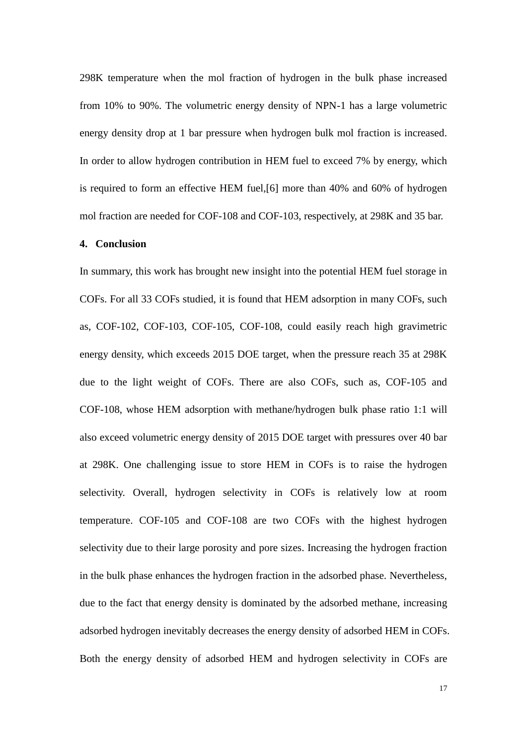298K temperature when the mol fraction of hydrogen in the bulk phase increased from 10% to 90%. The volumetric energy density of NPN-1 has a large volumetric energy density drop at 1 bar pressure when hydrogen bulk mol fraction is increased. In order to allow hydrogen contribution in HEM fuel to exceed 7% by energy, which is required to form an effective HEM fuel,[6] more than 40% and 60% of hydrogen mol fraction are needed for COF-108 and COF-103, respectively, at 298K and 35 bar.

#### **4. Conclusion**

In summary, this work has brought new insight into the potential HEM fuel storage in COFs. For all 33 COFs studied, it is found that HEM adsorption in many COFs, such as, COF-102, COF-103, COF-105, COF-108, could easily reach high gravimetric energy density, which exceeds 2015 DOE target, when the pressure reach 35 at 298K due to the light weight of COFs. There are also COFs, such as, COF-105 and COF-108, whose HEM adsorption with methane/hydrogen bulk phase ratio 1:1 will also exceed volumetric energy density of 2015 DOE target with pressures over 40 bar at 298K. One challenging issue to store HEM in COFs is to raise the hydrogen selectivity. Overall, hydrogen selectivity in COFs is relatively low at room temperature. COF-105 and COF-108 are two COFs with the highest hydrogen selectivity due to their large porosity and pore sizes. Increasing the hydrogen fraction in the bulk phase enhances the hydrogen fraction in the adsorbed phase. Nevertheless, due to the fact that energy density is dominated by the adsorbed methane, increasing adsorbed hydrogen inevitably decreases the energy density of adsorbed HEM in COFs. Both the energy density of adsorbed HEM and hydrogen selectivity in COFs are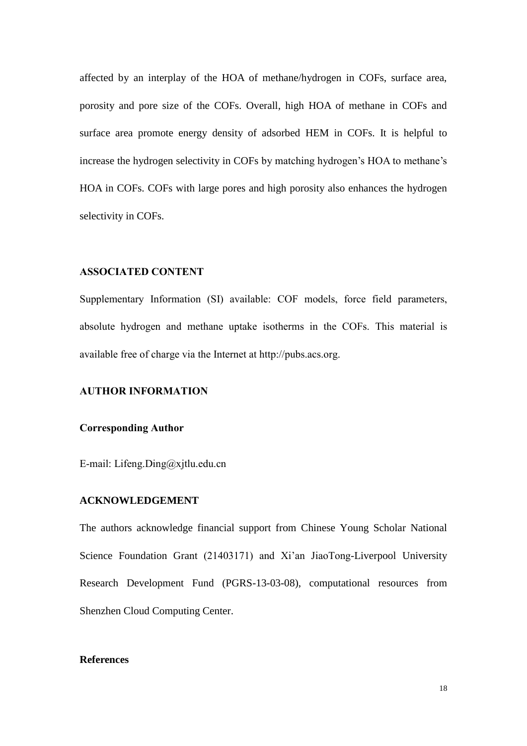affected by an interplay of the HOA of methane/hydrogen in COFs, surface area, porosity and pore size of the COFs. Overall, high HOA of methane in COFs and surface area promote energy density of adsorbed HEM in COFs. It is helpful to increase the hydrogen selectivity in COFs by matching hydrogen's HOA to methane's HOA in COFs. COFs with large pores and high porosity also enhances the hydrogen selectivity in COFs.

## **ASSOCIATED CONTENT**

Supplementary Information (SI) available: COF models, force field parameters, absolute hydrogen and methane uptake isotherms in the COFs. This material is available free of charge via the Internet at http://pubs.acs.org.

## **AUTHOR INFORMATION**

## **Corresponding Author**

E-mail: Lifeng.Ding@xjtlu.edu.cn

## **ACKNOWLEDGEMENT**

The authors acknowledge financial support from Chinese Young Scholar National Science Foundation Grant (21403171) and Xi'an JiaoTong-Liverpool University Research Development Fund (PGRS-13-03-08), computational resources from Shenzhen Cloud Computing Center.

## **References**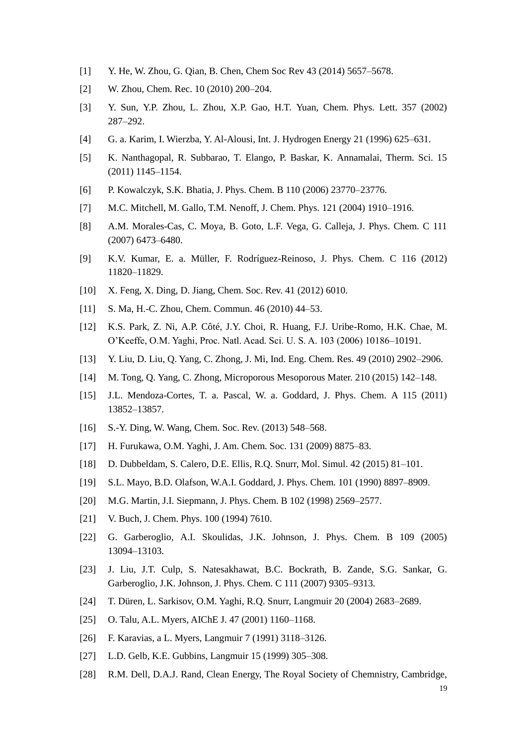- [1] Y. He, W. Zhou, G. Qian, B. Chen, Chem Soc Rev 43 (2014) 5657–5678.
- [2] W. Zhou, Chem. Rec. 10 (2010) 200–204.
- [3] Y. Sun, Y.P. Zhou, L. Zhou, X.P. Gao, H.T. Yuan, Chem. Phys. Lett. 357 (2002) 287–292.
- [4] G. a. Karim, I. Wierzba, Y. Al-Alousi, Int. J. Hydrogen Energy 21 (1996) 625–631.
- [5] K. Nanthagopal, R. Subbarao, T. Elango, P. Baskar, K. Annamalai, Therm. Sci. 15 (2011) 1145–1154.
- [6] P. Kowalczyk, S.K. Bhatia, J. Phys. Chem. B 110 (2006) 23770–23776.
- [7] M.C. Mitchell, M. Gallo, T.M. Nenoff, J. Chem. Phys. 121 (2004) 1910–1916.
- [8] A.M. Morales-Cas, C. Moya, B. Goto, L.F. Vega, G. Calleja, J. Phys. Chem. C 111 (2007) 6473–6480.
- [9] K.V. Kumar, E. a. Müller, F. Rodríguez-Reinoso, J. Phys. Chem. C 116 (2012) 11820–11829.
- [10] X. Feng, X. Ding, D. Jiang, Chem. Soc. Rev. 41 (2012) 6010.
- [11] S. Ma, H.-C. Zhou, Chem. Commun. 46 (2010) 44–53.
- [12] K.S. Park, Z. Ni, A.P. Côté, J.Y. Choi, R. Huang, F.J. Uribe-Romo, H.K. Chae, M. O'Keeffe, O.M. Yaghi, Proc. Natl. Acad. Sci. U. S. A. 103 (2006) 10186–10191.
- [13] Y. Liu, D. Liu, Q. Yang, C. Zhong, J. Mi, Ind. Eng. Chem. Res. 49 (2010) 2902–2906.
- [14] M. Tong, Q. Yang, C. Zhong, Microporous Mesoporous Mater. 210 (2015) 142–148.
- [15] J.L. Mendoza-Cortes, T. a. Pascal, W. a. Goddard, J. Phys. Chem. A 115 (2011) 13852–13857.
- [16] S.-Y. Ding, W. Wang, Chem. Soc. Rev. (2013) 548–568.
- [17] H. Furukawa, O.M. Yaghi, J. Am. Chem. Soc. 131 (2009) 8875–83.
- [18] D. Dubbeldam, S. Calero, D.E. Ellis, R.Q. Snurr, Mol. Simul. 42 (2015) 81–101.
- [19] S.L. Mayo, B.D. Olafson, W.A.I. Goddard, J. Phys. Chem. 101 (1990) 8897–8909.
- [20] M.G. Martin, J.I. Siepmann, J. Phys. Chem. B 102 (1998) 2569–2577.
- [21] V. Buch, J. Chem. Phys. 100 (1994) 7610.
- [22] G. Garberoglio, A.I. Skoulidas, J.K. Johnson, J. Phys. Chem. B 109 (2005) 13094–13103.
- [23] J. Liu, J.T. Culp, S. Natesakhawat, B.C. Bockrath, B. Zande, S.G. Sankar, G. Garberoglio, J.K. Johnson, J. Phys. Chem. C 111 (2007) 9305–9313.
- [24] T. Düren, L. Sarkisov, O.M. Yaghi, R.Q. Snurr, Langmuir 20 (2004) 2683–2689.
- [25] O. Talu, A.L. Myers, AIChE J. 47 (2001) 1160–1168.
- [26] F. Karavias, a L. Myers, Langmuir 7 (1991) 3118–3126.
- [27] L.D. Gelb, K.E. Gubbins, Langmuir 15 (1999) 305–308.
- [28] R.M. Dell, D.A.J. Rand, Clean Energy, The Royal Society of Chemnistry, Cambridge,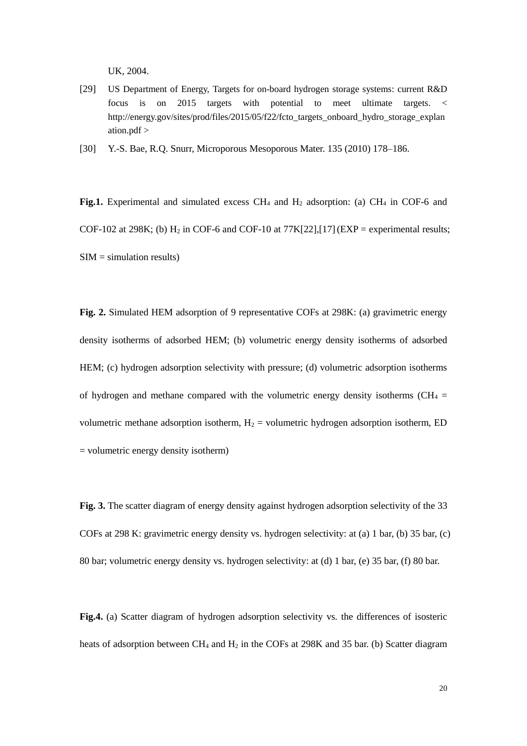UK, 2004.

[29] US Department of Energy, Targets for on-board hydrogen storage systems: current R&D focus is on 2015 targets with potential to meet ultimate targets. < http://energy.gov/sites/prod/files/2015/05/f22/fcto\_targets\_onboard\_hydro\_storage\_explan ation.pdf >

[30] Y.-S. Bae, R.Q. Snurr, Microporous Mesoporous Mater. 135 (2010) 178–186.

Fig.1. Experimental and simulated excess CH<sub>4</sub> and H<sub>2</sub> adsorption: (a) CH<sub>4</sub> in COF-6 and COF-102 at 298K; (b)  $H_2$  in COF-6 and COF-10 at 77K[22],[17] (EXP = experimental results;  $SIM = simulation results)$ 

**Fig. 2.** Simulated HEM adsorption of 9 representative COFs at 298K: (a) gravimetric energy density isotherms of adsorbed HEM; (b) volumetric energy density isotherms of adsorbed HEM; (c) hydrogen adsorption selectivity with pressure; (d) volumetric adsorption isotherms of hydrogen and methane compared with the volumetric energy density isotherms (CH<sub>4</sub> = volumetric methane adsorption isotherm,  $H_2$  = volumetric hydrogen adsorption isotherm, ED = volumetric energy density isotherm)

**Fig. 3.** The scatter diagram of energy density against hydrogen adsorption selectivity of the 33 COFs at 298 K: gravimetric energy density vs. hydrogen selectivity: at (a) 1 bar, (b) 35 bar, (c) 80 bar; volumetric energy density vs. hydrogen selectivity: at (d) 1 bar, (e) 35 bar, (f) 80 bar.

**Fig.4.** (a) Scatter diagram of hydrogen adsorption selectivity vs*.* the differences of isosteric heats of adsorption between CH<sub>4</sub> and H<sub>2</sub> in the COFs at 298K and 35 bar. (b) Scatter diagram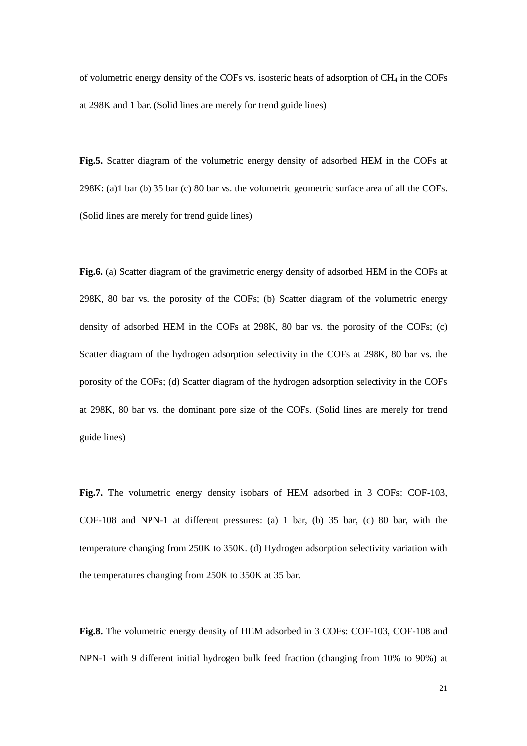of volumetric energy density of the COFs vs. isosteric heats of adsorption of CH<sup>4</sup> in the COFs at 298K and 1 bar. (Solid lines are merely for trend guide lines)

**Fig.5.** Scatter diagram of the volumetric energy density of adsorbed HEM in the COFs at 298K: (a)1 bar (b) 35 bar (c) 80 bar vs. the volumetric geometric surface area of all the COFs. (Solid lines are merely for trend guide lines)

**Fig.6.** (a) Scatter diagram of the gravimetric energy density of adsorbed HEM in the COFs at 298K, 80 bar vs*.* the porosity of the COFs; (b) Scatter diagram of the volumetric energy density of adsorbed HEM in the COFs at 298K, 80 bar vs. the porosity of the COFs; (c) Scatter diagram of the hydrogen adsorption selectivity in the COFs at 298K, 80 bar vs. the porosity of the COFs; (d) Scatter diagram of the hydrogen adsorption selectivity in the COFs at 298K, 80 bar vs. the dominant pore size of the COFs. (Solid lines are merely for trend guide lines)

**Fig.7.** The volumetric energy density isobars of HEM adsorbed in 3 COFs: COF-103, COF-108 and NPN-1 at different pressures: (a) 1 bar, (b) 35 bar, (c) 80 bar, with the temperature changing from 250K to 350K. (d) Hydrogen adsorption selectivity variation with the temperatures changing from 250K to 350K at 35 bar.

**Fig.8.** The volumetric energy density of HEM adsorbed in 3 COFs: COF-103, COF-108 and NPN-1 with 9 different initial hydrogen bulk feed fraction (changing from 10% to 90%) at